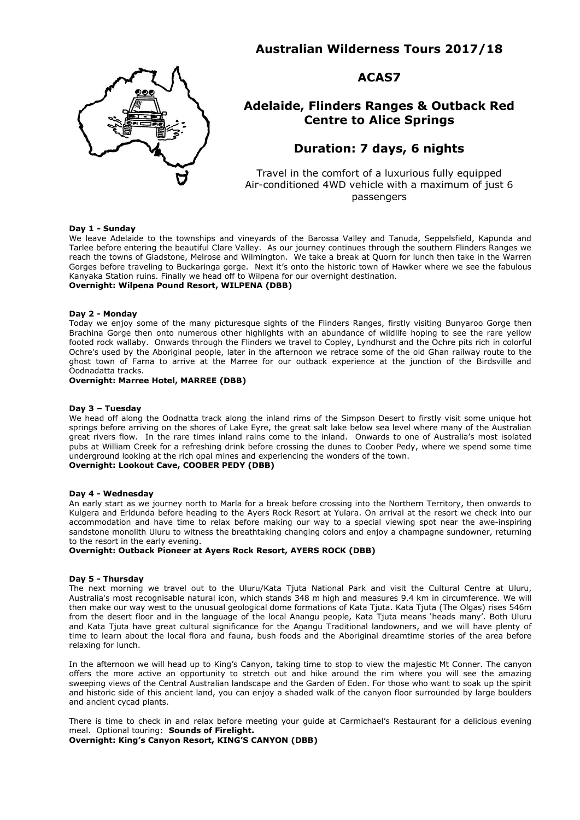# **Australian Wilderness Tours 2017/18**



# **ACAS7**

# **Adelaide, Flinders Ranges & Outback Red Centre to Alice Springs**

# **Duration: 7 days, 6 nights**

Travel in the comfort of a luxurious fully equipped Air-conditioned 4WD vehicle with a maximum of just 6 passengers

#### **Day 1 - Sunday**

We leave Adelaide to the townships and vineyards of the Barossa Valley and Tanuda, Seppelsfield, Kapunda and Tarlee before entering the beautiful Clare Valley. As our journey continues through the southern Flinders Ranges we reach the towns of Gladstone, Melrose and Wilmington. We take a break at Quorn for lunch then take in the Warren Gorges before traveling to Buckaringa gorge. Next it's onto the historic town of Hawker where we see the fabulous Kanyaka Station ruins. Finally we head off to Wilpena for our overnight destination.

## **Overnight: Wilpena Pound Resort, WILPENA (DBB)**

#### **Day 2 - Monday**

Today we enjoy some of the many picturesque sights of the Flinders Ranges, firstly visiting Bunyaroo Gorge then Brachina Gorge then onto numerous other highlights with an abundance of wildlife hoping to see the rare yellow footed rock wallaby. Onwards through the Flinders we travel to Copley, Lyndhurst and the Ochre pits rich in colorful Ochre's used by the Aboriginal people, later in the afternoon we retrace some of the old Ghan railway route to the ghost town of Farna to arrive at the Marree for our outback experience at the junction of the Birdsville and Oodnadatta tracks.

### **Overnight: Marree Hotel, MARREE (DBB)**

#### **Day 3 – Tuesday**

We head off along the Oodnatta track along the inland rims of the Simpson Desert to firstly visit some unique hot springs before arriving on the shores of Lake Eyre, the great salt lake below sea level where many of the Australian great rivers flow. In the rare times inland rains come to the inland. Onwards to one of Australia's most isolated pubs at William Creek for a refreshing drink before crossing the dunes to Coober Pedy, where we spend some time underground looking at the rich opal mines and experiencing the wonders of the town. **Overnight: Lookout Cave, COOBER PEDY (DBB)**

## **Day 4 - Wednesday**

An early start as we journey north to Marla for a break before crossing into the Northern Territory, then onwards to Kulgera and Erldunda before heading to the Ayers Rock Resort at Yulara. On arrival at the resort we check into our accommodation and have time to relax before making our way to a special viewing spot near the awe-inspiring sandstone monolith Uluru to witness the breathtaking changing colors and enjoy a champagne sundowner, returning to the resort in the early evening.

## **Overnight: Outback Pioneer at Ayers Rock Resort, AYERS ROCK (DBB)**

#### **Day 5 - Thursday**

The next morning we travel out to the Uluru/Kata Tjuta National Park and visit the Cultural Centre at Uluru, Australia's most recognisable natural icon, which stands 348 [m](http://en.wikipedia.org/wiki/Metre) high and measures 9.4 km in circumference. We will then make our way west to the unusual geological dome formations of Kata Tjuta. Kata Tjuta (The Olgas) rises 546m from the desert floor and in the language of the local Anangu people, Kata Tjuta means 'heads many'. Both Uluru and Kata Tjuta have great cultural significance for the An[angu](http://en.wikipedia.org/wiki/Anangu) Traditional landowners, and we will have plenty of time to learn about the local flora and fauna, bush foods and the [Aboriginal](http://en.wikipedia.org/wiki/Indigenous_Australians) [dreamtime](http://en.wikipedia.org/wiki/Dreamtime) stories of the area before relaxing for lunch.

In the afternoon we will head up to King's Canyon, taking time to stop to view the majestic Mt Conner. The canyon offers the more active an opportunity to stretch out and hike around the rim where you will see the amazing sweeping views of the Central Australian landscape and the Garden of Eden. For those who want to soak up the spirit and historic side of this ancient land, you can enjoy a shaded walk of the canyon floor surrounded by large boulders and ancient cycad plants.

There is time to check in and relax before meeting your guide at Carmichael's Restaurant for a delicious evening meal. Optional touring: **Sounds of Firelight.**

**Overnight: King's Canyon Resort, KING'S CANYON (DBB)**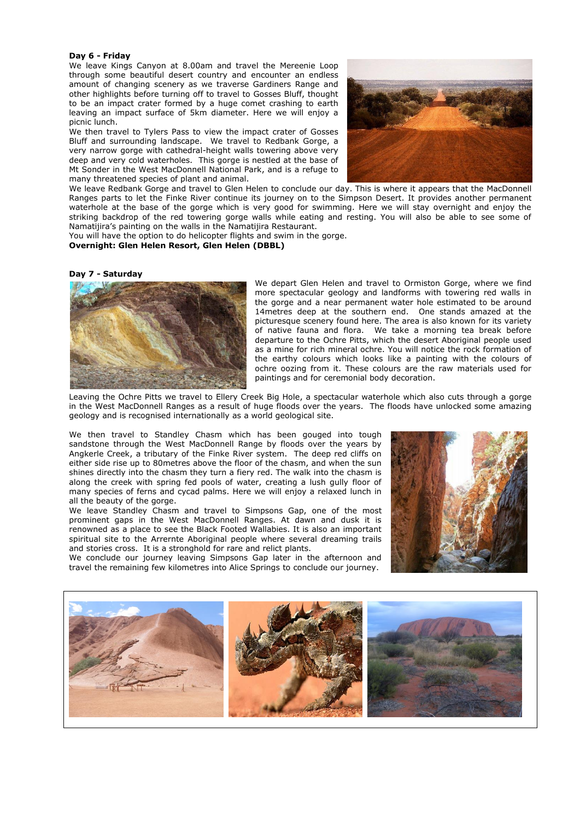#### **Day 6 - Friday**

We leave Kings Canyon at 8.00am and travel the Mereenie Loop through some beautiful desert country and encounter an endless amount of changing scenery as we traverse Gardiners Range and other highlights before turning off to travel to Gosses Bluff, thought to be an impact crater formed by a huge comet crashing to earth leaving an impact surface of 5km diameter. Here we will enjoy a picnic lunch.

We then travel to Tylers Pass to view the impact crater of Gosses Bluff and surrounding landscape. We travel to Redbank Gorge, a very narrow gorge with cathedral-height walls towering above very deep and very cold waterholes. This gorge is nestled at the base of Mt Sonder in the West MacDonnell National Park, and is a refuge to many threatened species of plant and animal.



We leave Redbank Gorge and travel to Glen Helen to conclude our day. This is where it appears that the MacDonnell Ranges parts to let the Finke River continue its journey on to the Simpson Desert. It provides another permanent waterhole at the base of the gorge which is very good for swimming. Here we will stay overnight and enjoy the striking backdrop of the red towering gorge walls while eating and resting. You will also be able to see some of Namatijira's painting on the walls in the Namatijira Restaurant.

You will have the option to do helicopter flights and swim in the gorge. **Overnight: Glen Helen Resort, Glen Helen (DBBL)**

#### **Day 7 - Saturday**



We depart Glen Helen and travel to Ormiston Gorge, where we find more spectacular geology and landforms with towering red walls in the gorge and a near permanent water hole estimated to be around 14metres deep at the southern end. One stands amazed at the picturesque scenery found here. The area is also known for its variety of native fauna and flora. We take a morning tea break before departure to the Ochre Pitts, which the desert Aboriginal people used as a mine for rich mineral ochre. You will notice the rock formation of the earthy colours which looks like a painting with the colours of ochre oozing from it. These colours are the raw materials used for paintings and for ceremonial body decoration.

Leaving the Ochre Pitts we travel to Ellery Creek Big Hole, a spectacular waterhole which also cuts through a gorge in the West MacDonnell Ranges as a result of huge floods over the years. The floods have unlocked some amazing geology and is recognised internationally as a world geological site.

We then travel to Standley Chasm which has been gouged into tough sandstone through the West MacDonnell Range by floods over the years by Angkerle Creek, a tributary of the Finke River system. The deep red cliffs on either side rise up to 80metres above the floor of the chasm, and when the sun shines directly into the chasm they turn a fiery red. The walk into the chasm is along the creek with spring fed pools of water, creating a lush gully floor of many species of ferns and cycad palms. Here we will enjoy a relaxed lunch in all the beauty of the gorge.

We leave Standley Chasm and travel to Simpsons Gap, one of the most prominent gaps in the West MacDonnell Ranges. At dawn and dusk it is renowned as a place to see the Black Footed Wallabies. It is also an important spiritual site to the Arrernte Aboriginal people where several dreaming trails and stories cross. It is a stronghold for rare and relict plants.

We conclude our journey leaving Simpsons Gap later in the afternoon and travel the remaining few kilometres into Alice Springs to conclude our journey.